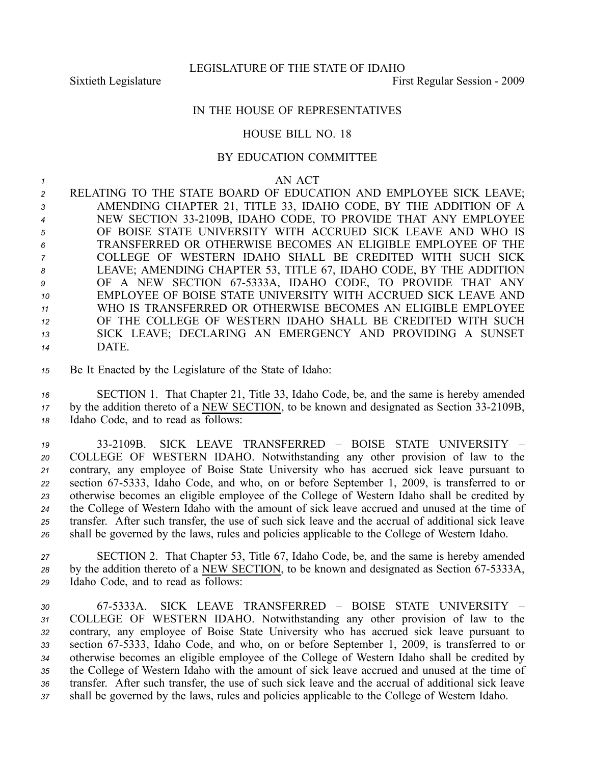## IN THE HOUSE OF REPRESENTATIVES

## HOUSE BILL NO. 18

## BY EDUCATION COMMITTEE

*<sup>1</sup>* AN ACT

 RELATING TO THE STATE BOARD OF EDUCATION AND EMPLOYEE SICK LEAVE; AMENDING CHAPTER 21, TITLE 33, IDAHO CODE, BY THE ADDITION OF A NEW SECTION 332109B, IDAHO CODE, TO PROVIDE THAT ANY EMPLOYEE OF BOISE STATE UNIVERSITY WITH ACCRUED SICK LEAVE AND WHO IS TRANSFERRED OR OTHERWISE BECOMES AN ELIGIBLE EMPLOYEE OF THE COLLEGE OF WESTERN IDAHO SHALL BE CREDITED WITH SUCH SICK LEAVE; AMENDING CHAPTER 53, TITLE 67, IDAHO CODE, BY THE ADDITION OF A NEW SECTION 675333A, IDAHO CODE, TO PROVIDE THAT ANY EMPLOYEE OF BOISE STATE UNIVERSITY WITH ACCRUED SICK LEAVE AND WHO IS TRANSFERRED OR OTHERWISE BECOMES AN ELIGIBLE EMPLOYEE OF THE COLLEGE OF WESTERN IDAHO SHALL BE CREDITED WITH SUCH SICK LEAVE; DECLARING AN EMERGENCY AND PROVIDING A SUNSET *<sup>14</sup>* DATE.

*<sup>15</sup>* Be It Enacted by the Legislature of the State of Idaho:

*<sup>16</sup>* SECTION 1. That Chapter 21, Title 33, Idaho Code, be, and the same is hereby amended <sup>17</sup> by the addition thereto of a NEW SECTION, to be known and designated as Section 33-2109B, *<sup>18</sup>* Idaho Code, and to read as follows:

 332109B. SICK LEAVE TRANSFERRED – BOISE STATE UNIVERSITY – COLLEGE OF WESTERN IDAHO. Notwithstanding any other provision of law to the contrary, any employee of Boise State University who has accrued sick leave pursuan<sup>t</sup> to section 675333, Idaho Code, and who, on or before September 1, 2009, is transferred to or otherwise becomes an eligible employee of the College of Western Idaho shall be credited by the College of Western Idaho with the amount of sick leave accrued and unused at the time of transfer. After such transfer, the use of such sick leave and the accrual of additional sick leave shall be governed by the laws, rules and policies applicable to the College of Western Idaho.

*<sup>27</sup>* SECTION 2. That Chapter 53, Title 67, Idaho Code, be, and the same is hereby amended <sup>28</sup> by the addition thereto of a NEW SECTION, to be known and designated as Section 67-5333A, *<sup>29</sup>* Idaho Code, and to read as follows:

 675333A. SICK LEAVE TRANSFERRED – BOISE STATE UNIVERSITY – COLLEGE OF WESTERN IDAHO. Notwithstanding any other provision of law to the contrary, any employee of Boise State University who has accrued sick leave pursuan<sup>t</sup> to section 675333, Idaho Code, and who, on or before September 1, 2009, is transferred to or otherwise becomes an eligible employee of the College of Western Idaho shall be credited by the College of Western Idaho with the amount of sick leave accrued and unused at the time of transfer. After such transfer, the use of such sick leave and the accrual of additional sick leave shall be governed by the laws, rules and policies applicable to the College of Western Idaho.